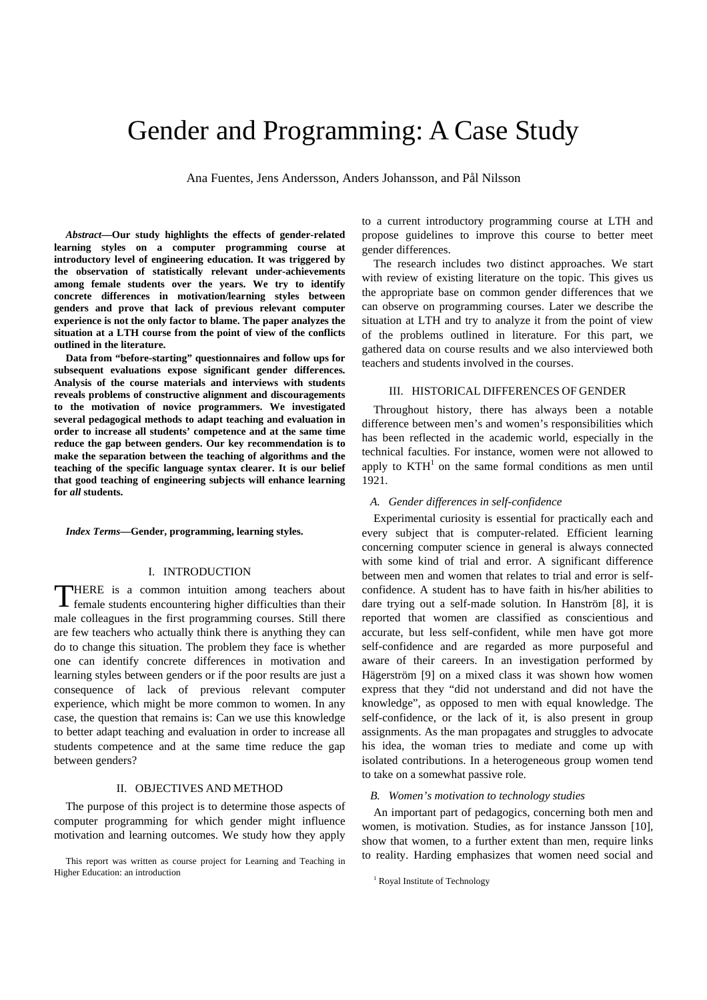# Gender and Programming: A Case Study

Ana Fuentes, Jens Andersson, Anders Johansson, and Pål Nilsson

*Abstract***—Our study highlights the effects of gender-related learning styles on a computer programming course at introductory level of engineering education. It was triggered by the observation of statistically relevant under-achievements among female students over the years. We try to identify concrete differences in motivation/learning styles between genders and prove that lack of previous relevant computer experience is not the only factor to blame. The paper analyzes the situation at a LTH course from the point of view of the conflicts outlined in the literature.** 

**Data from "before-starting" questionnaires and follow ups for subsequent evaluations expose significant gender differences. Analysis of the course materials and interviews with students reveals problems of constructive alignment and discouragements to the motivation of novice programmers. We investigated several pedagogical methods to adapt teaching and evaluation in order to increase all students' competence and at the same time reduce the gap between genders. Our key recommendation is to make the separation between the teaching of algorithms and the teaching of the specific language syntax clearer. It is our belief that good teaching of engineering subjects will enhance learning for** *all* **students.** 

*Index Terms***—Gender, programming, learning styles.** 

# I. INTRODUCTION

HERE is a common intuition among teachers about THERE is a common intuition among teachers about female students encountering higher difficulties than their male colleagues in the first programming courses. Still there are few teachers who actually think there is anything they can do to change this situation. The problem they face is whether one can identify concrete differences in motivation and learning styles between genders or if the poor results are just a consequence of lack of previous relevant computer experience, which might be more common to women. In any case, the question that remains is: Can we use this knowledge to better adapt teaching and evaluation in order to increase all students competence and at the same time reduce the gap between genders?

# II. OBJECTIVES AND METHOD

The purpose of this project is to determine those aspects of computer programming for which gender might influence motivation and learning outcomes. We study how they apply to a current introductory programming course at LTH and propose guidelines to improve this course to better meet gender differences.

The research includes two distinct approaches. We start with review of existing literature on the topic. This gives us the appropriate base on common gender differences that we can observe on programming courses. Later we describe the situation at LTH and try to analyze it from the point of view of the problems outlined in literature. For this part, we gathered data on course results and we also interviewed both teachers and students involved in the courses.

## III. HISTORICAL DIFFERENCES OF GENDER

Throughout history, there has always been a notable difference between men's and women's responsibilities which has been reflected in the academic world, especially in the technical faculties. For instance, women were not allowed to apply to  $KTH<sup>1</sup>$  on the same formal conditions as men until 1921.

## *A. Gender differences in self-confidence*

Experimental curiosity is essential for practically each and every subject that is computer-related. Efficient learning concerning computer science in general is always connected with some kind of trial and error. A significant difference between men and women that relates to trial and error is selfconfidence. A student has to have faith in his/her abilities to dare trying out a self-made solution. In Hanström [8], it is reported that women are classified as conscientious and accurate, but less self-confident, while men have got more self-confidence and are regarded as more purposeful and aware of their careers. In an investigation performed by Hägerström [9] on a mixed class it was shown how women express that they "did not understand and did not have the knowledge", as opposed to men with equal knowledge. The self-confidence, or the lack of it, is also present in group assignments. As the man propagates and struggles to advocate his idea, the woman tries to mediate and come up with isolated contributions. In a heterogeneous group women tend to take on a somewhat passive role.

#### *B. Women's motivation to technology studies*

An important part of pedagogics, concerning both men and women, is motivation. Studies, as for instance Jansson [10], show that women, to a further extent than men, require links to reality. Harding emphasizes that women need social and

This report was written as course project for Learning and Teaching in Higher Education: an introduction

<sup>&</sup>lt;sup>1</sup> Royal Institute of Technology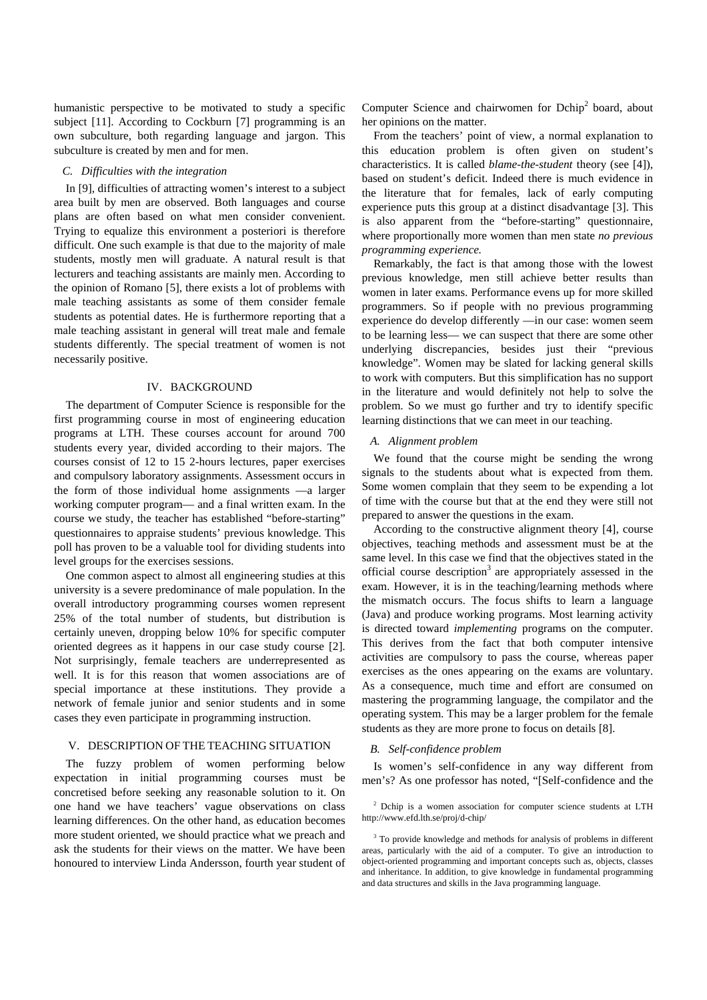humanistic perspective to be motivated to study a specific subject [11]. According to Cockburn [7] programming is an own subculture, both regarding language and jargon. This subculture is created by men and for men.

## *C. Difficulties with the integration*

In [9], difficulties of attracting women's interest to a subject area built by men are observed. Both languages and course plans are often based on what men consider convenient. Trying to equalize this environment a posteriori is therefore difficult. One such example is that due to the majority of male students, mostly men will graduate. A natural result is that lecturers and teaching assistants are mainly men. According to the opinion of Romano [5], there exists a lot of problems with male teaching assistants as some of them consider female students as potential dates. He is furthermore reporting that a male teaching assistant in general will treat male and female students differently. The special treatment of women is not necessarily positive.

## IV. BACKGROUND

The department of Computer Science is responsible for the first programming course in most of engineering education programs at LTH. These courses account for around 700 students every year, divided according to their majors. The courses consist of 12 to 15 2-hours lectures, paper exercises and compulsory laboratory assignments. Assessment occurs in the form of those individual home assignments —a larger working computer program— and a final written exam. In the course we study, the teacher has established "before-starting" questionnaires to appraise students' previous knowledge. This poll has proven to be a valuable tool for dividing students into level groups for the exercises sessions.

One common aspect to almost all engineering studies at this university is a severe predominance of male population. In the overall introductory programming courses women represent 25% of the total number of students, but distribution is certainly uneven, dropping below 10% for specific computer oriented degrees as it happens in our case study course [2]. Not surprisingly, female teachers are underrepresented as well. It is for this reason that women associations are of special importance at these institutions. They provide a network of female junior and senior students and in some cases they even participate in programming instruction.

## V. DESCRIPTION OF THE TEACHING SITUATION

The fuzzy problem of women performing below expectation in initial programming courses must be concretised before seeking any reasonable solution to it. On one hand we have teachers' vague observations on class learning differences. On the other hand, as education becomes more student oriented, we should practice what we preach and ask the students for their views on the matter. We have been honoured to interview Linda Andersson, fourth year student of

Computer Science and chairwomen for Dchip<sup>2</sup> board, about her opinions on the matter.

From the teachers' point of view, a normal explanation to this education problem is often given on student's characteristics. It is called *blame-the-student* theory (see [4]), based on student's deficit. Indeed there is much evidence in the literature that for females, lack of early computing experience puts this group at a distinct disadvantage [3]. This is also apparent from the "before-starting" questionnaire, where proportionally more women than men state *no previous programming experience.* 

Remarkably, the fact is that among those with the lowest previous knowledge, men still achieve better results than women in later exams. Performance evens up for more skilled programmers. So if people with no previous programming experience do develop differently —in our case: women seem to be learning less— we can suspect that there are some other underlying discrepancies, besides just their "previous knowledge". Women may be slated for lacking general skills to work with computers. But this simplification has no support in the literature and would definitely not help to solve the problem. So we must go further and try to identify specific learning distinctions that we can meet in our teaching.

### *A. Alignment problem*

We found that the course might be sending the wrong signals to the students about what is expected from them. Some women complain that they seem to be expending a lot of time with the course but that at the end they were still not prepared to answer the questions in the exam.

According to the constructive alignment theory [4], course objectives, teaching methods and assessment must be at the same level. In this case we find that the objectives stated in the official course description<sup>3</sup> are appropriately assessed in the exam. However, it is in the teaching/learning methods where the mismatch occurs. The focus shifts to learn a language (Java) and produce working programs. Most learning activity is directed toward *implementing* programs on the computer. This derives from the fact that both computer intensive activities are compulsory to pass the course, whereas paper exercises as the ones appearing on the exams are voluntary. As a consequence, much time and effort are consumed on mastering the programming language, the compilator and the operating system. This may be a larger problem for the female students as they are more prone to focus on details [8].

## *B. Self-confidence problem*

Is women's self-confidence in any way different from men's? As one professor has noted, "[Self-confidence and the

<sup>&</sup>lt;sup>2</sup> Dchip is a women association for computer science students at LTH http://www.efd.lth.se/proj/d-chip/

<sup>&</sup>lt;sup>3</sup> To provide knowledge and methods for analysis of problems in different areas, particularly with the aid of a computer. To give an introduction to object-oriented programming and important concepts such as, objects, classes and inheritance. In addition, to give knowledge in fundamental programming and data structures and skills in the Java programming language.